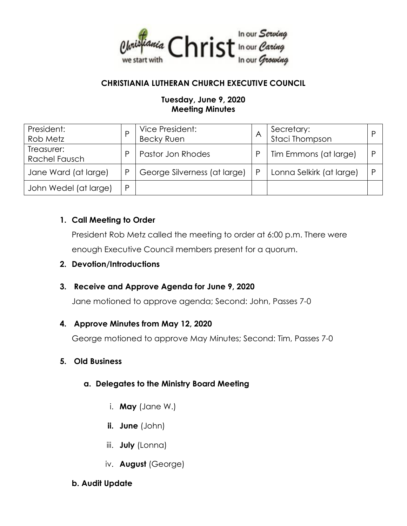

### **CHRISTIANIA LUTHERAN CHURCH EXECUTIVE COUNCIL**

#### **Tuesday, June 9, 2020 Meeting Minutes**

| President:<br>Rob Metz             |   | Vice President:<br><b>Becky Ruen</b> |   | Secretary:<br>Staci Thompson | D |
|------------------------------------|---|--------------------------------------|---|------------------------------|---|
| Treasurer:<br><b>Rachel Fausch</b> |   | Pastor Jon Rhodes                    |   | Tim Emmons (at large)        | P |
| Jane Ward (at large)               | P | George Silverness (at large)         | P | Lonna Selkirk (at large)     |   |
| John Wedel (at large)              | D |                                      |   |                              |   |

### **1. Call Meeting to Order**

President Rob Metz called the meeting to order at 6:00 p.m. There were enough Executive Council members present for a quorum.

#### **2. Devotion/Introductions**

### **3. Receive and Approve Agenda for June 9, 2020**

Jane motioned to approve agenda; Second: John, Passes 7-0

#### **4. Approve Minutes from May 12, 2020**

George motioned to approve May Minutes; Second: Tim, Passes 7-0

### **5. Old Business**

### **a. Delegates to the Ministry Board Meeting**

- i. **May** (Jane W.)
- **ii. June** (John)
- iii. **July** (Lonna)
- iv. **August** (George)

#### **b. Audit Update**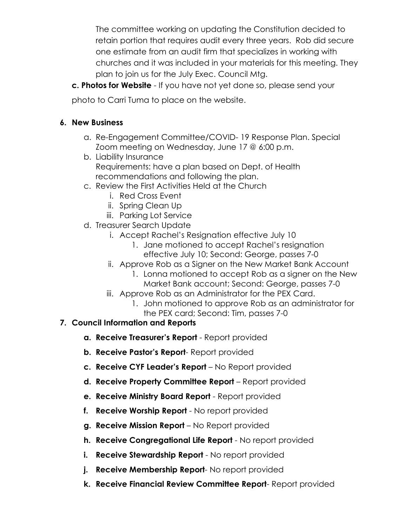The committee working on updating the Constitution decided to retain portion that requires audit every three years. Rob did secure one estimate from an audit firm that specializes in working with churches and it was included in your materials for this meeting. They plan to join us for the July Exec. Council Mtg.

**c. Photos for Website** - If you have not yet done so, please send your

photo to Carri Tuma to place on the website.

# **6. New Business**

- a. Re-Engagement Committee/COVID- 19 Response Plan. Special Zoom meeting on Wednesday, June 17 @ 6:00 p.m.
- b. Liability Insurance Requirements: have a plan based on Dept. of Health recommendations and following the plan.
- c. Review the First Activities Held at the Church
	- i. Red Cross Event
	- ii. Spring Clean Up
	- iii. Parking Lot Service
- d. Treasurer Search Update
	- i. Accept Rachel's Resignation effective July 10
		- 1. Jane motioned to accept Rachel's resignation effective July 10; Second: George, passes 7-0
	- ii. Approve Rob as a Signer on the New Market Bank Account
		- 1. Lonna motioned to accept Rob as a signer on the New Market Bank account; Second: George, passes 7-0
	- iii. Approve Rob as an Administrator for the PEX Card.
		- 1. John motioned to approve Rob as an administrator for the PEX card; Second: Tim, passes 7-0

# **7. Council Information and Reports**

- **a. Receive Treasurer's Report**  Report provided
- **b. Receive Pastor's Report** Report provided
- **c. Receive CYF Leader's Report**  No Report provided
- **d. Receive Property Committee Report**  Report provided
- **e. Receive Ministry Board Report**  Report provided
- **f. Receive Worship Report**  No report provided
- **g. Receive Mission Report**  No Report provided
- **h. Receive Congregational Life Report**  No report provided
- **i.** Receive Stewardship Report No report provided
- **j. Receive Membership Report** No report provided
- **k. Receive Financial Review Committee Report** Report provided